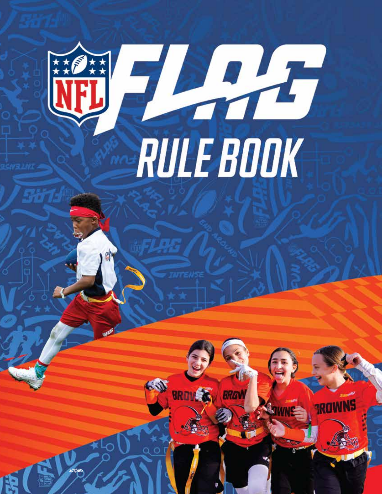

ap09222021

 $\mathcal{L}(\mathcal{N})$ 

*3/22/2022*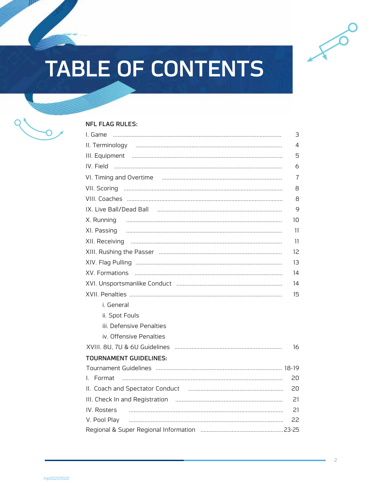

# **TABLE OF CONTENTS**



### **NFL FLAG RULES:**

| I. Game<br>$\begin{minipage}{0.5\textwidth} \begin{tabular}{ c c c c c } \hline \multicolumn{1}{ c }{0.5\textwidth} \begin{tabular}{ c c c } \hline \multicolumn{1}{ c }{0.5\textwidth} \begin{tabular}{ c c c } \hline \multicolumn{1}{ c }{0.5\textwidth} \begin{tabular}{ c c c } \hline \multicolumn{1}{ c }{0.5\textwidth} \begin{tabular}{ c c c } \hline \multicolumn{1}{ c }{0.5\textwidth} \begin{tabular}{ c c c } \hline \multicolumn{1}{ c $ | 3              |
|----------------------------------------------------------------------------------------------------------------------------------------------------------------------------------------------------------------------------------------------------------------------------------------------------------------------------------------------------------------------------------------------------------------------------------------------------------|----------------|
|                                                                                                                                                                                                                                                                                                                                                                                                                                                          | $\overline{4}$ |
|                                                                                                                                                                                                                                                                                                                                                                                                                                                          | 5              |
|                                                                                                                                                                                                                                                                                                                                                                                                                                                          | 6              |
|                                                                                                                                                                                                                                                                                                                                                                                                                                                          | $\overline{7}$ |
|                                                                                                                                                                                                                                                                                                                                                                                                                                                          | 8              |
|                                                                                                                                                                                                                                                                                                                                                                                                                                                          | 8              |
|                                                                                                                                                                                                                                                                                                                                                                                                                                                          | 9              |
|                                                                                                                                                                                                                                                                                                                                                                                                                                                          | 10             |
|                                                                                                                                                                                                                                                                                                                                                                                                                                                          | 11             |
|                                                                                                                                                                                                                                                                                                                                                                                                                                                          | 11             |
|                                                                                                                                                                                                                                                                                                                                                                                                                                                          | 12             |
|                                                                                                                                                                                                                                                                                                                                                                                                                                                          | 13             |
| XV. Formations                                                                                                                                                                                                                                                                                                                                                                                                                                           | 14             |
|                                                                                                                                                                                                                                                                                                                                                                                                                                                          | 14             |
|                                                                                                                                                                                                                                                                                                                                                                                                                                                          | 15             |
| i. General                                                                                                                                                                                                                                                                                                                                                                                                                                               |                |
| ii. Spot Fouls                                                                                                                                                                                                                                                                                                                                                                                                                                           |                |
| iii. Defensive Penalties                                                                                                                                                                                                                                                                                                                                                                                                                                 |                |
| iv. Offensive Penalties                                                                                                                                                                                                                                                                                                                                                                                                                                  |                |
|                                                                                                                                                                                                                                                                                                                                                                                                                                                          | 16             |
| <b>TOURNAMENT GUIDELINES:</b>                                                                                                                                                                                                                                                                                                                                                                                                                            |                |
|                                                                                                                                                                                                                                                                                                                                                                                                                                                          |                |
| I. Format                                                                                                                                                                                                                                                                                                                                                                                                                                                | 20             |
|                                                                                                                                                                                                                                                                                                                                                                                                                                                          | 20             |
|                                                                                                                                                                                                                                                                                                                                                                                                                                                          | 21             |
| IV. Rosters                                                                                                                                                                                                                                                                                                                                                                                                                                              | 21             |
| V. Pool Play                                                                                                                                                                                                                                                                                                                                                                                                                                             | 22             |
|                                                                                                                                                                                                                                                                                                                                                                                                                                                          |                |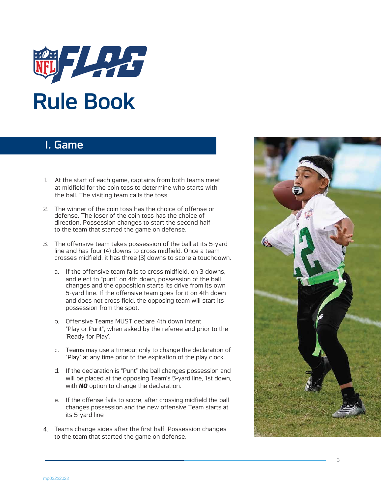

# I. Game

- 1. At the start of each game, captains from both teams meet at midfield for the coin toss to determine who starts with the ball. The visiting team calls the toss.
- 2. The winner of the coin toss has the choice of offense or defense. The loser of the coin toss has the choice of direction. Possession changes to start the second half to the team that started the game on defense.
- 3. The offensive team takes possession of the ball at its 5-yard line and has four (4) downs to cross midfield. Once a team crosses midfield, it has three (3) downs to score a touchdown.
	- a. If the offensive team fails to cross midfield, on 3 downs, and elect to "punt" on 4th down, possession of the ball changes and the opposition starts its drive from its own 5-yard line. If the offensive team goes for it on 4th down and does not cross field, the opposing team will start its possession from the spot.
	- b. Offensive Teams MUST declare 4th down intent; "Play or Punt", when asked by the referee and prior to the 'Ready for Play'.
	- c. Teams may use a timeout only to change the declaration of "Play" at any time prior to the expiration of the play clock.
	- d. If the declaration is "Punt" the ball changes possession and will be placed at the opposing Team's 5-yard line, 1st down, with **NO** option to change the declaration.
	- e. If the offense fails to score, after crossing midfield the ball changes possession and the new offensive Team starts at its 5-yard line
- 4. Teams change sides after the first half. Possession changes to the team that started the game on defense.



6 3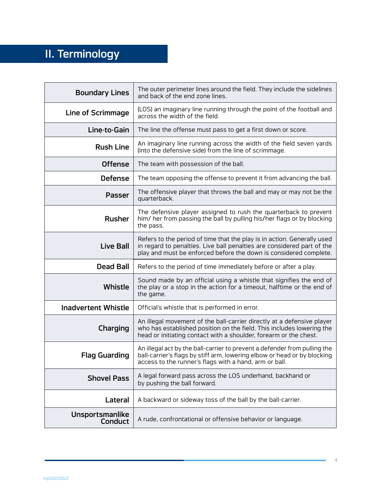# II. Terminology

| <b>Boundary Lines</b>             | The outer perimeter lines around the field. They include the sidelines<br>and back of the end zone lines.                                                                                                              |
|-----------------------------------|------------------------------------------------------------------------------------------------------------------------------------------------------------------------------------------------------------------------|
| Line of Scrimmage                 | (LOS) an imaginary line running through the point of the football and<br>across the width of the field.                                                                                                                |
| Line-to-Gain                      | The line the offense must pass to get a first down or score.                                                                                                                                                           |
| <b>Rush Line</b>                  | An imaginary line running across the width of the field seven yards<br>(into the defensive side) from the line of scrimmage.                                                                                           |
| <b>Offense</b>                    | The team with possession of the ball.                                                                                                                                                                                  |
| <b>Defense</b>                    | The team opposing the offense to prevent it from advancing the ball.                                                                                                                                                   |
| <b>Passer</b>                     | The offensive player that throws the ball and may or may not be the<br>quarterback.                                                                                                                                    |
| <b>Rusher</b>                     | The defensive player assigned to rush the quarterback to prevent<br>him/ her from passing the ball by pulling his/her flags or by blocking<br>the pass.                                                                |
| <b>Live Ball</b>                  | Refers to the period of time that the play is in action. Generally used<br>in regard to penalties. Live ball penalties are considered part of the<br>play and must be enforced before the down is considered complete. |
| <b>Dead Ball</b>                  | Refers to the period of time immediately before or after a play.                                                                                                                                                       |
| <b>Whistle</b>                    | Sound made by an official using a whistle that signifies the end of<br>the play or a stop in the action for a timeout, halftime or the end of<br>the game.                                                             |
| <b>Inadvertent Whistle</b>        | Official's whistle that is performed in error.                                                                                                                                                                         |
| Charging                          | An illegal movement of the ball-carrier directly at a defensive player<br>who has established position on the field. This includes lowering the<br>head or initiating contact with a shoulder, forearm or the chest.   |
| <b>Flag Guarding</b>              | An illegal act by the ball-carrier to prevent a defender from pulling the<br>ball-carrier's flags by stiff arm, lowering elbow or head or by blocking<br>access to the runner's flags with a hand, arm or ball.        |
| <b>Shovel Pass</b>                | A legal forward pass across the LOS underhand, backhand or<br>by pushing the ball forward.                                                                                                                             |
| Lateral                           | A backward or sideway toss of the ball by the ball-carrier.                                                                                                                                                            |
| Unsportsmanlike<br><b>Conduct</b> | A rude, confrontational or offensive behavior or language.                                                                                                                                                             |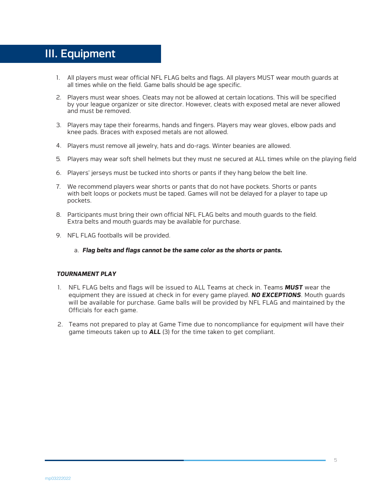# III. Equipment

- 1. All players must wear official NFL FLAG belts and flags. All players MUST wear mouth guards at all times while on the field. Game balls should be age specific.
- 2. Players must wear shoes. Cleats may not be allowed at certain locations. This will be specified by your league organizer or site director. However, cleats with exposed metal are never allowed and must be removed.
- 3. Players may tape their forearms, hands and fingers. Players may wear gloves, elbow pads and knee pads. Braces with exposed metals are not allowed.
- 4. Players must remove all jewelry, hats and do-rags. Winter beanies are allowed.
- 5. Players may wear soft shell helmets but they must ne secured at ALL times while on the playing field
- 6. Players' jerseys must be tucked into shorts or pants if they hang below the belt line.
- 7. We recommend players wear shorts or pants that do not have pockets. Shorts or pants with belt loops or pockets must be taped. Games will not be delayed for a player to tape up pockets.
- 8. Participants must bring their own official NFL FLAG belts and mouth guards to the field. Extra belts and mouth guards may be available for purchase.
- 9. NFL FLAG footballs will be provided.
	- a. *Flag belts and flags cannot be the same color as the shorts or pants.*

### *TOURNAMENT PLAY*

- 1. NFL FLAG belts and flags will be issued to ALL Teams at check in. Teams *MUST* wear the equipment they are issued at check in for every game played. *NO EXCEPTIONS*. Mouth guards will be available for purchase. Game balls will be provided by NFL FLAG and maintained by the Officials for each game.
- 2. Teams not prepared to play at Game Time due to noncompliance for equipment will have their game timeouts taken up to *ALL* (3) for the time taken to get compliant.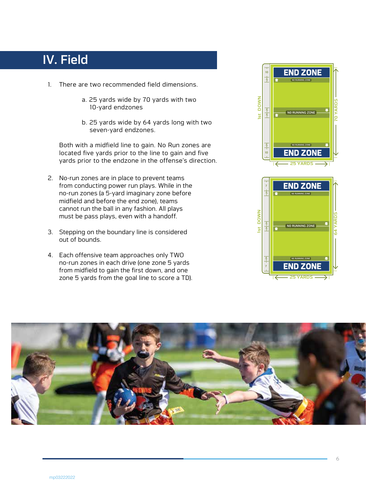# IV. Field

- 1. There are two recommended field dimensions.
	- a. 25 yards wide by 70 yards with two 10-yard endzones
	- b. 25 yards wide by 64 yards long with two seven-yard endzones.

Both with a midfield line to gain. No Run zones are located five yards prior to the line to gain and five yards prior to the endzone in the offense's direction.

- 2. No-run zones are in place to prevent teams from conducting power run plays. While in the no-run zones (a 5-yard imaginary zone before midfield and before the end zone), teams cannot run the ball in any fashion. All plays must be pass plays, even with a handoff.
- 3. Stepping on the boundary line is considered out of bounds.
- 4. Each offensive team approaches only TWO no-run zones in each drive (one zone 5 yards from midfield to gain the first down, and one zone 5 yards from the goal line to score a TD).





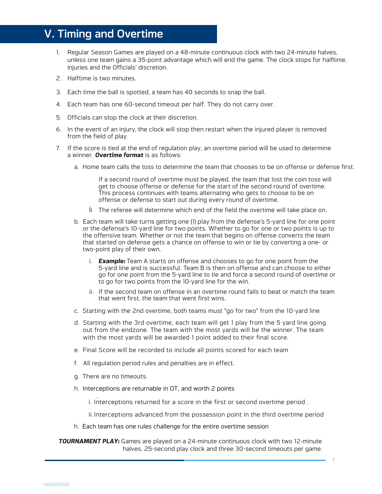# V. Timing and Overtime

- 1. Regular Season Games are played on a 48-minute continuous clock with two 24-minute halves, unless one team gains a 35-point advantage which will end the game. The clock stops for halftime, injuries and the Officials' discretion.
- 2. Halftime is two minutes.
- 3. Each time the ball is spotted, a team has 40 seconds to snap the ball.
- 4. Each team has one 60-second timeout per half. They do not carry over.
- 5. Officials can stop the clock at their discretion.
- 6. In the event of an injury, the clock will stop then restart when the injured player is removed from the field of play.
- 7. If the score is tied at the end of regulation play, an overtime period will be used to determine a winner. *Overtime format* is as follows:
	- a. Home team calls the toss to determine the team that chooses to be on offense or defense first.

If a second round of overtime must be played, the team that lost the coin toss will get to choose offense or defense for the start of the second round of overtime. This process continues with teams alternating who gets to choose to be on offense or defense to start out during every round of overtime.

- i. The referee will determine which end of the field the overtime will take place on.
- b. Each team will take turns getting one (1) play from the defense's 5-yard line for one point or the defense's 10-yard line for two points. Whether to go for one or two points is up to the offensive team. Whether or not the team that begins on offense converts the team that started on defense gets a chance on offense to win or tie by converting a one- or two-point play of their own.
	- i. *Example:* Team A starts on offense and chooses to go for one point from the 5-yard line and is successful. Team B is then on offense and can choose to either go for one point from the 5-yard line to tie and force a second round of overtime or to go for two points from the 10-yard line for the win.
	- ii. If the second team on offense in an overtime round fails to beat or match the team that went first, the team that went first wins.
- c. Starting with the 2nd overtime, both teams must "go for two" from the 10-yard line
- d. Starting with the 3rd overtime, each team will get 1 play from the 5 yard line going out from the endzone. The team with the most yards will be the winner. The team with the most yards will be awarded 1 point added to their final score.
- e. Final Score will be recorded to include all points scored for each team
- f. All regulation period rules and penalties are in effect.
- g. There are no timeouts.

.

h. Interceptions are returnable in OT, and worth 2 points

. i. Interceptions returned for a score in the first or second overtime period .

ii.Interceptions advanced from the possession point in the third overtime period

h. Each team has one rules challenge for the entire overtime session

**TOURNAMENT PLAY:** Games are played on a 24-minute continuous clock with two 12-minute halves, 25-second play clock and three 30-second timeouts per game.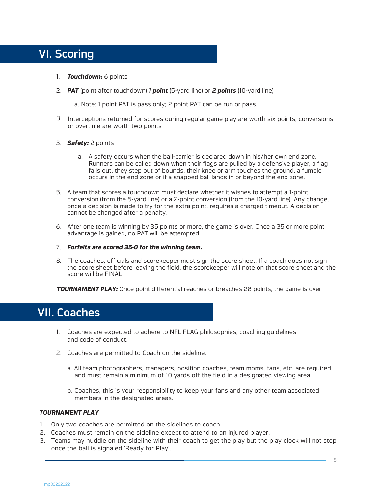# VI. Scoring

- 1. *Touchdown:* 6 points
- 2. *PAT* (point after touchdown) *1 point* (5-yard line) or *2 points* (10-yard line)

a. Note: 1 point PAT is pass only; 2 point PAT can be run or pass.

3. Interceptions returned for scores during regular game play are worth six points, conversions or overtime are worth two points

### 3. *Safety:* 2 points

- a. A safety occurs when the ball-carrier is declared down in his/her own end zone. Runners can be called down when their flags are pulled by a defensive player, a flag falls out, they step out of bounds, their knee or arm touches the ground, a fumble occurs in the end zone or if a snapped ball lands in or beyond the end zone.
- 5. A team that scores a touchdown must declare whether it wishes to attempt a 1-point conversion (from the 5-yard line) or a 2-point conversion (from the 10-yard line). Any change, once a decision is made to try for the extra point, requires a charged timeout. A decision cannot be changed after a penalty.
- 6. After one team is winning by 35 points or more, the game is over. Once a 35 or more point advantage is gained, no PAT will be attempted.
- 7. *Forfeits are scored 35-0 for the winning team.*
- 8. The coaches, officials and scorekeeper must sign the score sheet. If a coach does not sign the score sheet before leaving the field, the scorekeeper will note on that score sheet and the score will be FINAL.

**TOURNAMENT PLAY:** Once point differential reaches or breaches 28 points, the game is over

## VII. Coaches

- 1. Coaches are expected to adhere to NFL FLAG philosophies, coaching guidelines and code of conduct.
- 2. Coaches are permitted to Coach on the sideline.
	- a. All team photographers, managers, position coaches, team moms, fans, etc. are required and must remain a minimum of 10 yards off the field in a designated viewing area.
	- b. Coaches, this is your responsibility to keep your fans and any other team associated members in the designated areas.

### *TOURNAMENT PLAY*

- 1. Only two coaches are permitted on the sidelines to coach.
- 2. Coaches must remain on the sideline except to attend to an injured player.
- 3. Teams may huddle on the sideline with their coach to get the play but the play clock will not stop once the ball is signaled 'Ready for Play'.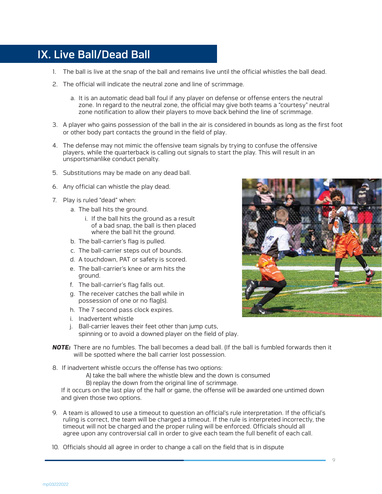# IX. Live Ball/Dead Ball

- 1. The ball is live at the snap of the ball and remains live until the official whistles the ball dead.
- 2. The official will indicate the neutral zone and line of scrimmage.
	- a. It is an automatic dead ball foul if any player on defense or offense enters the neutral zone. In regard to the neutral zone, the official may give both teams a "courtesy" neutral zone notification to allow their players to move back behind the line of scrimmage.
- 3. A player who gains possession of the ball in the air is considered in bounds as long as the first foot or other body part contacts the ground in the field of play.
- 4. The defense may not mimic the offensive team signals by trying to confuse the offensive players, while the quarterback is calling out signals to start the play. This will result in an unsportsmanlike conduct penalty.
- 5. Substitutions may be made on any dead ball.
- 6. Any official can whistle the play dead.
- 7. Play is ruled "dead" when:
	- a. The ball hits the ground.
		- i. If the ball hits the ground as a result of a bad snap, the ball is then placed where the ball hit the ground.
	- b. The ball-carrier's flag is pulled.
	- c. The ball-carrier steps out of bounds.
	- d. A touchdown, PAT or safety is scored.
	- e. The ball-carrier's knee or arm hits the ground.
	- f. The ball-carrier's flag falls out.
	- g. The receiver catches the ball while in possession of one or no flag(s).
	- h. The 7 second pass clock expires.
	- i. Inadvertent whistle
	- j. Ball-carrier leaves their feet other than jump cuts, spinning or to avoid a downed player on the field of play.
- *NOTE:* There are no fumbles. The ball becomes a dead ball. (If the ball is fumbled forwards then it will be spotted where the ball carrier lost possession.
- 8. If inadvertent whistle occurs the offense has two options:
	- A) take the ball where the whistle blew and the down is consumed
	- B) replay the down from the original line of scrimmage.

If it occurs on the last play of the half or game, the offense will be awarded one untimed down and given those two options.

- 9. A team is allowed to use a timeout to question an official's rule interpretation. If the official's ruling is correct, the team will be charged a timeout. If the rule is interpreted incorrectly, the timeout will not be charged and the proper ruling will be enforced. Officials should all agree upon any controversial call in order to give each team the full benefit of each call.
- 10. Officials should all agree in order to change a call on the field that is in dispute

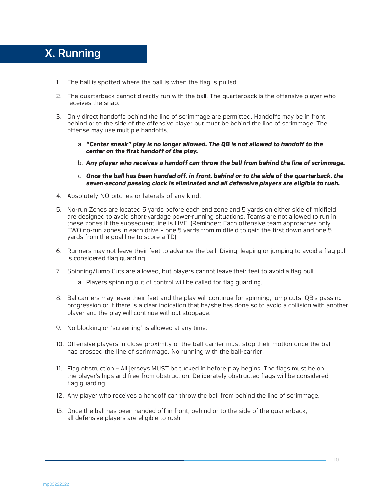# X. Running

- 1. The ball is spotted where the ball is when the flag is pulled.
- 2. The quarterback cannot directly run with the ball. The quarterback is the offensive player who receives the snap.
- 3. Only direct handoffs behind the line of scrimmage are permitted. Handoffs may be in front, behind or to the side of the offensive player but must be behind the line of scrimmage. The offense may use multiple handoffs.
	- a. *"Center sneak" play is no longer allowed. The QB is not allowed to handoff to the center on the first handoff of the play.*
	- b. *Any player who receives a handoff can throw the ball from behind the line of scrimmage.*
	- c. *Once the ball has been handed off, in front, behind or to the side of the quarterback, the seven-second passing clock is eliminated and all defensive players are eligible to rush.*
- 4. Absolutely NO pitches or laterals of any kind.
- 5. No-run Zones are located 5 yards before each end zone and 5 yards on either side of midfield are designed to avoid short-yardage power-running situations. Teams are not allowed to run in these zones if the subsequent line is LIVE. (Reminder: Each offensive team approaches only TWO no-run zones in each drive – one 5 yards from midfield to gain the first down and one 5 yards from the goal line to score a TD).
- 6. Runners may not leave their feet to advance the ball. Diving, leaping or jumping to avoid a flag pull is considered flag guarding.
- 7. Spinning/Jump Cuts are allowed, but players cannot leave their feet to avoid a flag pull.
	- a. Players spinning out of control will be called for flag guarding.
- 8. Ballcarriers may leave their feet and the play will continue for spinning, jump cuts, QB's passing progression or if there is a clear indication that he/she has done so to avoid a collision with another player and the play will continue without stoppage.
- 9. No blocking or "screening" is allowed at any time.
- 10. Offensive players in close proximity of the ball-carrier must stop their motion once the ball has crossed the line of scrimmage. No running with the ball-carrier.
- 11. Flag obstruction All jerseys MUST be tucked in before play begins. The flags must be on the player's hips and free from obstruction. Deliberately obstructed flags will be considered flag guarding.
- 12. Any player who receives a handoff can throw the ball from behind the line of scrimmage.
- 13. Once the ball has been handed off in front, behind or to the side of the quarterback, all defensive players are eligible to rush.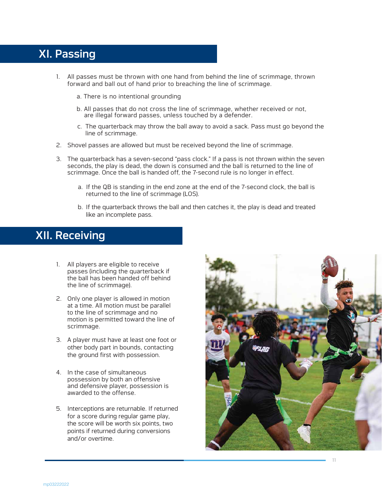# XI. Passing

- 1. All passes must be thrown with one hand from behind the line of scrimmage, thrown forward and ball out of hand prior to breaching the line of scrimmage.
	- a. There is no intentional grounding
	- b. All passes that do not cross the line of scrimmage, whether received or not, are illegal forward passes, unless touched by a defender.
	- c. The quarterback may throw the ball away to avoid a sack. Pass must go beyond the line of scrimmage.
- 2. Shovel passes are allowed but must be received beyond the line of scrimmage.
- 3. The quarterback has a seven-second "pass clock." If a pass is not thrown within the seven seconds, the play is dead, the down is consumed and the ball is returned to the line of scrimmage. Once the ball is handed off, the 7-second rule is no longer in effect.
	- a. If the QB is standing in the end zone at the end of the 7-second clock, the ball is returned to the line of scrimmage (LOS).
	- b. If the quarterback throws the ball and then catches it, the play is dead and treated like an incomplete pass.

# XII. Receiving

- 1. All players are eligible to receive passes (including the quarterback if the ball has been handed off behind the line of scrimmage).
- 2. Only one player is allowed in motion at a time. All motion must be parallel to the line of scrimmage and no motion is permitted toward the line of scrimmage.
- 3. A player must have at least one foot or other body part in bounds, contacting the ground first with possession.
- 4. In the case of simultaneous possession by both an offensive and defensive player, possession is awarded to the offense.
- 5. Interceptions are returnable. If returned for a score during regular game play, the score will be worth six points, two points if returned during conversions and/or overtime.

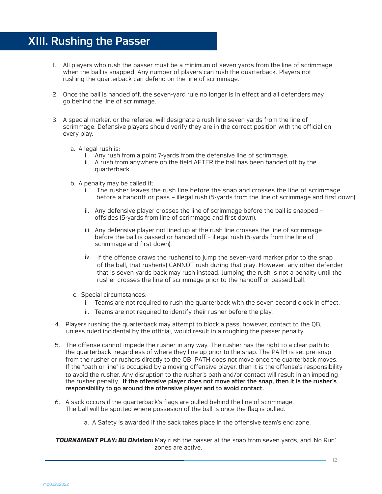# XIII. Rushing the Passer

- 1. All players who rush the passer must be a minimum of seven yards from the line of scrimmage when the ball is snapped. Any number of players can rush the quarterback. Players not rushing the quarterback can defend on the line of scrimmage.
- 2. Once the ball is handed off, the seven-yard rule no longer is in effect and all defenders may go behind the line of scrimmage.
- 3. A special marker, or the referee, will designate a rush line seven yards from the line of scrimmage. Defensive players should verify they are in the correct position with the official on every play.
	- a. A legal rush is:
		- i. Any rush from a point 7-yards from the defensive line of scrimmage.
		- ii. A rush from anywhere on the field AFTER the ball has been handed off by the quarterback.
	- b. A penalty may be called if:
		- i. The rusher leaves the rush line before the snap and crosses the line of scrimmage before a handoff or pass – illegal rush (5-yards from the line of scrimmage and first down).
		- ii. Any defensive player crosses the line of scrimmage before the ball is snapped offsides (5-yards from line of scrimmage and first down).
		- iii. Any defensive player not lined up at the rush line crosses the line of scrimmage before the ball is passed or handed off – illegal rush (5-yards from the line of scrimmage and first down).
		- iv. If the offense draws the rusher(s) to jump the seven-yard marker prior to the snap of the ball, that rusher(s) CANNOT rush during that play. However, any other defender that is seven yards back may rush instead. Jumping the rush is not a penalty until the rusher crosses the line of scrimmage prior to the handoff or passed ball.
	- c. Special circumstances:
		- i. Teams are not required to rush the quarterback with the seven second clock in effect.
		- ii. Teams are not required to identify their rusher before the play.
- 4. Players rushing the quarterback may attempt to block a pass; however, contact to the QB, unless ruled incidental by the official, would result in a roughing the passer penalty.
- 5. The offense cannot impede the rusher in any way. The rusher has the right to a clear path to the quarterback, regardless of where they line up prior to the snap. The PATH is set pre-snap from the rusher or rushers directly to the QB. PATH does not move once the quarterback moves. If the "path or line" is occupied by a moving offensive player, then it is the offense's responsibility to avoid the rusher. Any disruption to the rusher's path and/or contact will result in an impeding the rusher penalty. If the offensive player does not move after the snap, then it is the rusher's responsibility to go around the offensive player and to avoid contact.
- 6. A sack occurs if the quarterback's flags are pulled behind the line of scrimmage. The ball will be spotted where possesion of the ball is once the flag is pulled.
	- a. A Safety is awarded if the sack takes place in the offensive team's end zone.

*TOURNAMENT PLAY: 8U Division:* May rush the passer at the snap from seven yards, and 'No Run' zones are active.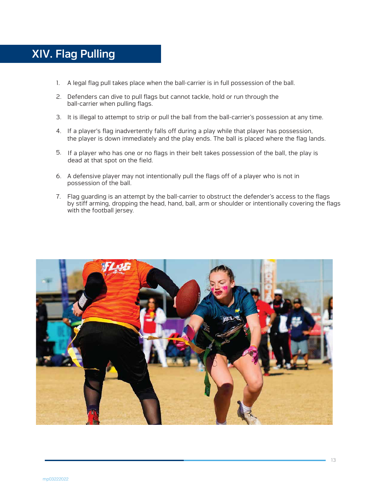# XIV. Flag Pulling

- 1. A legal flag pull takes place when the ball-carrier is in full possession of the ball.
- 2. Defenders can dive to pull flags but cannot tackle, hold or run through the ball-carrier when pulling flags.
- 3. It is illegal to attempt to strip or pull the ball from the ball-carrier's possession at any time.
- 4. If a player's flag inadvertently falls off during a play while that player has possession, the player is down immediately and the play ends. The ball is placed where the flag lands.
- 5. If a player who has one or no flags in their belt takes possession of the ball, the play is dead at that spot on the field.
- 6. A defensive player may not intentionally pull the flags off of a player who is not in possession of the ball.
- 7. Flag guarding is an attempt by the ball-carrier to obstruct the defender's access to the flags by stiff arming, dropping the head, hand, ball, arm or shoulder or intentionally covering the flags with the football jersey.

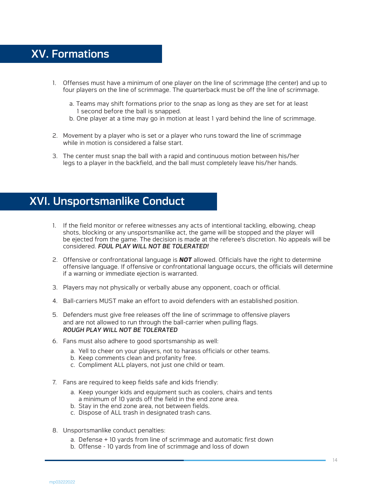# XV. Formations

- 1. Offenses must have a minimum of one player on the line of scrimmage (the center) and up to four players on the line of scrimmage. The quarterback must be off the line of scrimmage.
	- a. Teams may shift formations prior to the snap as long as they are set for at least 1 second before the ball is snapped.
	- b. One player at a time may go in motion at least 1 yard behind the line of scrimmage.
- 2. Movement by a player who is set or a player who runs toward the line of scrimmage while in motion is considered a false start.
- 3. The center must snap the ball with a rapid and continuous motion between his/her legs to a player in the backfield, and the ball must completely leave his/her hands.

# XVI. Unsportsmanlike Conduct

- 1. If the field monitor or referee witnesses any acts of intentional tackling, elbowing, cheap shots, blocking or any unsportsmanlike act, the game will be stopped and the player will be ejected from the game. The decision is made at the referee's discretion. No appeals will be considered. *FOUL PLAY WILL NOT BE TOLERATED!*
- 2. Offensive or confrontational language is *NOT* allowed. Officials have the right to determine offensive language. If offensive or confrontational language occurs, the officials will determine if a warning or immediate ejection is warranted.
- 3. Players may not physically or verbally abuse any opponent, coach or official.
- 4. Ball-carriers MUST make an effort to avoid defenders with an established position.
- 5. Defenders must give free releases off the line of scrimmage to offensive players and are not allowed to run through the ball-carrier when pulling flags. *ROUGH PLAY WILL NOT BE TOLERATED*
- 6. Fans must also adhere to good sportsmanship as well:
	- a. Yell to cheer on your players, not to harass officials or other teams.
	- b. Keep comments clean and profanity free.
	- c. Compliment ALL players, not just one child or team.
- 7. Fans are required to keep fields safe and kids friendly:
	- a. Keep younger kids and equipment such as coolers, chairs and tents a minimum of 10 yards off the field in the end zone area.
	- b. Stay in the end zone area, not between fields.
	- c. Dispose of ALL trash in designated trash cans.
- 8. Unsportsmanlike conduct penalties:
	- a. Defense + 10 yards from line of scrimmage and automatic first down
	- b. Offense 10 yards from line of scrimmage and loss of down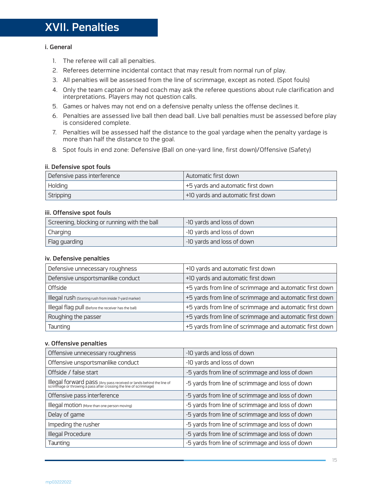# XVII. Penalties

### i. General

- 1. The referee will call all penalties.
- 2. Referees determine incidental contact that may result from normal run of play.
- 3. All penalties will be assessed from the line of scrimmage, except as noted. (Spot fouls)
- 4. Only the team captain or head coach may ask the referee questions about rule clarification and interpretations. Players may not question calls.
- 5. Games or halves may not end on a defensive penalty unless the offense declines it.
- 6. Penalties are assessed live ball then dead ball. Live ball penalties must be assessed before play is considered complete.
- 7. Penalties will be assessed half the distance to the goal yardage when the penalty yardage is more than half the distance to the goal.
- 8. Spot fouls in end zone: Defensive (Ball on one-yard line, first down)/Offensive (Safety)

### ii. Defensive spot fouls

| Defensive pass interference | Automatic first down               |
|-----------------------------|------------------------------------|
| Holding                     | +5 yards and automatic first down  |
| Stripping                   | +10 yards and automatic first down |

### iii. Offensive spot fouls

| Screening, blocking or running with the ball | -10 yards and loss of down |
|----------------------------------------------|----------------------------|
| Charging                                     | -10 yards and loss of down |
| Flag guarding                                | -10 yards and loss of down |

### iv. Defensive penalties

| Defensive unnecessary roughness                        | +10 yards and automatic first down                       |
|--------------------------------------------------------|----------------------------------------------------------|
| Defensive unsportsmanlike conduct                      | +10 yards and automatic first down                       |
| Offside                                                | +5 yards from line of scrimmage and automatic first down |
| Illegal rush (Starting rush from inside 7-yard marker) | +5 yards from line of scrimmage and automatic first down |
| Illegal flag pull (Before the receiver has the ball)   | +5 yards from line of scrimmage and automatic first down |
| Roughing the passer                                    | +5 yards from line of scrimmage and automatic first down |
| Taunting                                               | +5 yards from line of scrimmage and automatic first down |

### v. Offensive penalties

| Offensive unnecessary roughness                                                                                                        | -10 yards and loss of down                       |
|----------------------------------------------------------------------------------------------------------------------------------------|--------------------------------------------------|
| Offensive unsportsmanlike conduct                                                                                                      | -10 yards and loss of down                       |
| Offside / false start                                                                                                                  | -5 yards from line of scrimmage and loss of down |
| Illegal forward pass (Any pass received or lands behind the line of scrimmage or throwing a pass after crossing the line of scrimmage) | -5 yards from line of scrimmage and loss of down |
| Offensive pass interference                                                                                                            | -5 yards from line of scrimmage and loss of down |
| Illegal motion (More than one person moving)                                                                                           | -5 yards from line of scrimmage and loss of down |
| Delay of game                                                                                                                          | -5 yards from line of scrimmage and loss of down |
| Impeding the rusher                                                                                                                    | -5 yards from line of scrimmage and loss of down |
| Illegal Procedure                                                                                                                      | -5 yards from line of scrimmage and loss of down |
| Taunting                                                                                                                               | -5 yards from line of scrimmage and loss of down |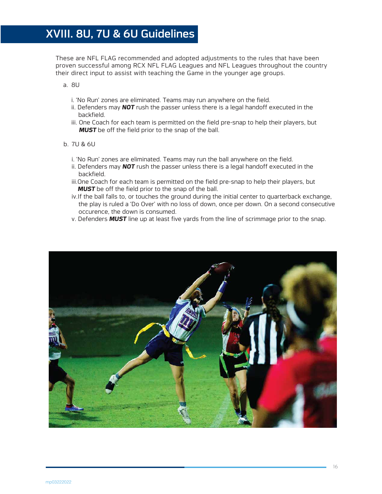These are NFL FLAG recommended and adopted adjustments to the rules that have been proven successful among RCX NFL FLAG Leagues and NFL Leagues throughout the country their direct input to assist with teaching the Game in the younger age groups.

a. 8U

- i. 'No Run' zones are eliminated. Teams may run anywhere on the field.
- ii. Defenders may *NOT* rush the passer unless there is a legal handoff executed in the backfield.
- iii. One Coach for each team is permitted on the field pre-snap to help their players, but **MUST** be off the field prior to the snap of the ball.

### b. 7U & 6U

- i. 'No Run' zones are eliminated. Teams may run the ball anywhere on the field.
- ii. Defenders may *NOT* rush the passer unless there is a legal handoff executed in the backfield.
- iii.One Coach for each team is permitted on the field pre-snap to help their players, but **MUST** be off the field prior to the snap of the ball.
- iv.If the ball falls to, or touches the ground during the initial center to quarterback exchange, the play is ruled a 'Do Over' with no loss of down, once per down. On a second consecutive occurence, the down is consumed.
- v. Defenders *MUST* line up at least five yards from the line of scrimmage prior to the snap.

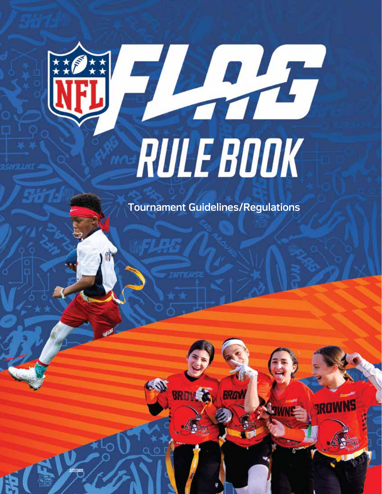

*3/22/2022*

# RULEBOOK

Tournament Guidelines/Regulations

ap09222021

 $\mathcal{L}(\mathcal{N})$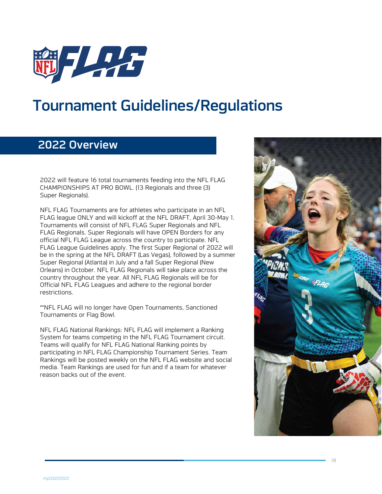

# Tournament Guidelines/Regulations

# 2022 Overview

2022 will feature 16 total tournaments feeding into the NFL FLAG CHAMPIONSHIPS AT PRO BOWL. (13 Regionals and three (3) Super Regionals).

NFL FLAG Tournaments are for athletes who participate in an NFL FLAG league ONLY and will kickoff at the NFL DRAFT, April 30-May 1. Tournaments will consist of NFL FLAG Super Regionals and NFL FLAG Regionals. Super Regionals will have OPEN Borders for any official NFL FLAG League across the country to participate. NFL FLAG League Guidelines apply. The first Super Regional of 2022 will be in the spring at the NFL DRAFT (Las Vegas), followed by a summer Super Regional (Atlanta) in July and a fall Super Regional (New Orleans) in October. NFL FLAG Regionals will take place across the country throughout the year. All NFL FLAG Regionals will be for Official NFL FLAG Leagues and adhere to the regional border restrictions.

\*\*NFL FLAG will no longer have Open Tournaments, Sanctioned Tournaments or Flag Bowl.

NFL FLAG National Rankings: NFL FLAG will implement a Ranking System for teams competing in the NFL FLAG Tournament circuit. Teams will qualify for NFL FLAG National Ranking points by participating in NFL FLAG Championship Tournament Series. Team Rankings will be posted weekly on the NFL FLAG website and social media. Team Rankings are used for fun and if a team for whatever reason backs out of the event.

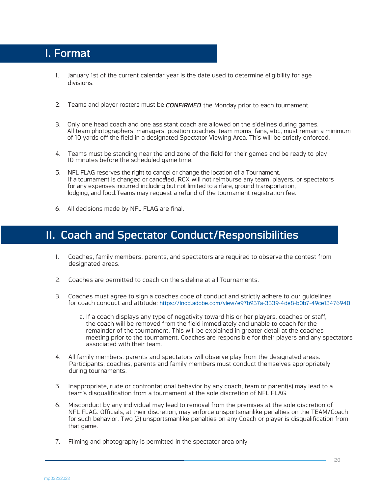# I. Format

- January 1st of the current calendar year is the date used to determine eligibility for age 1. divisions.
- 2. Teams and player rosters must be *CONFIRMED* the Monday prior to each tournament.
- Only one head coach and one assistant coach are allowed on the sidelines during games. 3. All team photographers, managers, position coaches, team moms, fans, etc., must remain a minimum of 10 yards off the field in a designated Spectator Viewing Area. This will be strictly enforced.
- Teams must be standing near the end zone of the field for their games and be ready to play 4. 10 minutes before the scheduled game time.
- l If a tournament is changed or canceled, RCX will not reimburse any team, players, or spectators 5. NFL FLAG reserves the right to cancel or change the location of a Tournament. for any expenses incurred including but not limited to airfare, ground transportation, lodging, and food.Teams may request a refund of the tournament registration fee.
- 6. All decisions made by NFL FLAG are final.

# II. Coach and Spectator Conduct/Responsibilities

- 1. Coaches, family members, parents, and spectators are required to observe the contest from designated areas.
- 2. Coaches are permitted to coach on the sideline at all Tournaments.
- 3. Coaches must agree to sign a coaches code of conduct and strictly adhere to our guidelines for coach conduct and attitude: https://indd.adobe.com/view/e97b937a-3339-4de8-b0b7-49ce13476940
	- a. If a coach displays any type of negativity toward his or her players, coaches or staff, the coach will be removed from the field immediately and unable to coach for the remainder of the tournament. This will be explained in greater detail at the coaches meeting prior to the tournament. Coaches are responsible for their players and any spectators associated with their team.
- 4. All family members, parents and spectators will observe play from the designated areas. Participants, coaches, parents and family members must conduct themselves appropriately during tournaments.
- 5. Inappropriate, rude or confrontational behavior by any coach, team or parent(s) may lead to a team's disqualification from a tournament at the sole discretion of NFL FLAG.
- 6. Misconduct by any individual may lead to removal from the premises at the sole discretion of NFL FLAG. Officials, at their discretion, may enforce unsportsmanlike penalties on the TEAM/Coach for such behavior. Two (2) unsportsmanlike penalties on any Coach or player is disqualification from that game.
- 7. Filming and photography is permitted in the spectator area only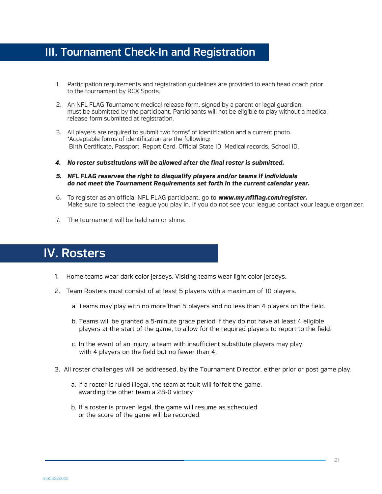# III. Tournament Check-In and Registration

- 1. Participation requirements and registration guidelines are provided to each head coach prior to the tournament by RCX Sports.
- 2. An NFL FLAG Tournament medical release form, signed by a parent or legal guardian, must be submitted by the participant. Participants will not be eligible to play without a medical release form submitted at registration.
- 3. All players are required to submit two forms\* of identification and a current photo. \*Acceptable forms of identification are the following: Birth Certificate, Passport, Report Card, Official State ID, Medical records, School ID.
- *4. No roster substitutions will be allowed after the final roster is submitted.*
- *5. NFL FLAG reserves the right to disqualify players and/or teams if individuals do not meet the Tournament Requirements set forth in the current calendar year.*
- 6. To register as an official NFL FLAG participant, go to *www.my.nflflag.com/register.* Make sure to select the league you play in. If you do not see your league contact your league organizer.
- 7. The tournament will be held rain or shine.

# IV. Rosters

- 1. Home teams wear dark color jerseys. Visiting teams wear light color jerseys.
- 2. Team Rosters must consist of at least 5 players with a maximum of 10 players.
	- a. Teams may play with no more than 5 players and no less than 4 players on the field.
	- b. Teams will be granted a 5-minute grace period if they do not have at least 4 eligible players at the start of the game, to allow for the required players to report to the field.
	- c. In the event of an injury, a team with insufficient substitute players may play with 4 players on the field but no fewer than 4.
- 3. All roster challenges will be addressed, by the Tournament Director, either prior or post game play.
	- a. If a roster is ruled illegal, the team at fault will forfeit the game, awarding the other team a 28-0 victory
	- b. If a roster is proven legal, the game will resume as scheduled or the score of the game will be recorded.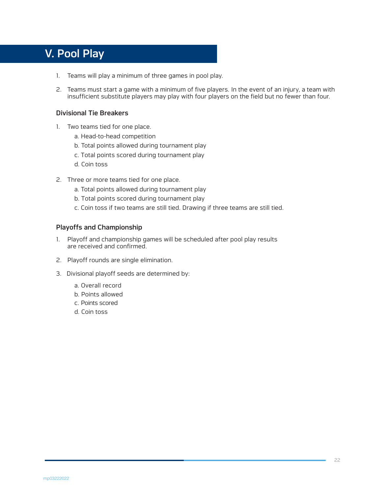# V. Pool Play

- 1. Teams will play a minimum of three games in pool play.
- 2. Teams must start a game with a minimum of five players. In the event of an injury, a team with insufficient substitute players may play with four players on the field but no fewer than four.

### Divisional Tie Breakers

- 1. Two teams tied for one place.
	- a. Head-to-head competition
	- b. Total points allowed during tournament play
	- c. Total points scored during tournament play
	- d. Coin toss
- 2. Three or more teams tied for one place.
	- a. Total points allowed during tournament play
	- b. Total points scored during tournament play
	- c. Coin toss if two teams are still tied. Drawing if three teams are still tied.

### Playoffs and Championship

- 1. Playoff and championship games will be scheduled after pool play results are received and confirmed.
- 2. Playoff rounds are single elimination.
- 3. Divisional playoff seeds are determined by:
	- a. Overall record
	- b. Points allowed
	- c. Points scored
	- d. Coin toss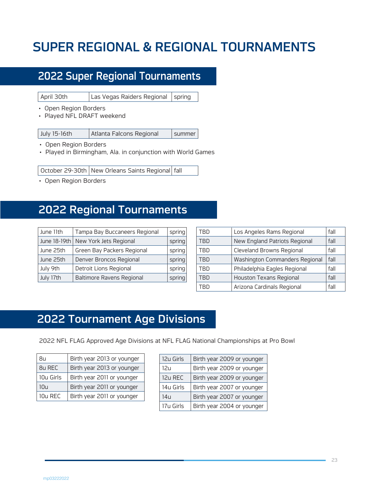# SUPER REGIONAL & REGIONAL TOURNAMENTS

# 2022 Super Regional Tournaments

April 30th Las Vegas Raiders Regional spring

- Open Region Borders
- Played NFL DRAFT weekend

- Open Region Borders
- Played in Birmingham, Ala. in conjunction with World Games

October 29-30th | New Orleans Saints Regional | fall

• Open Region Borders

# 2022 Regional Tournaments

| June 11th    | Tampa Bay Buccaneers Regional    | spring |
|--------------|----------------------------------|--------|
| June 18-19th | New York Jets Regional           | spring |
| June 25th    | Green Bay Packers Regional       | spring |
| June 25th    | Denver Broncos Regional          | spring |
| July 9th     | Detroit Lions Regional           | spring |
| July 17th    | <b>Baltimore Ravens Regional</b> | spring |

| TRD        | Los Angeles Rams Regional        | fall |
|------------|----------------------------------|------|
| TBD        | New England Patriots Regional    | fall |
| TBD        | <b>Cleveland Browns Regional</b> | fall |
| <b>TBD</b> | Washington Commanders Regional   | fall |
| <b>TRD</b> | Philadelphia Eagles Regional     | fall |
| TRD        | <b>Houston Texans Regional</b>   | fall |
| TRN        | Arizona Cardinals Regional       | fall |

# 2022 Tournament Age Divisions

2022 NFL FLAG Approved Age Divisions at NFL FLAG National Championships at Pro Bowl

| 8u        | Birth year 2013 or younger |
|-----------|----------------------------|
| 8u REC    | Birth year 2013 or younger |
| 10u Girls | Birth year 2011 or younger |
| 10u       | Birth year 2011 or younger |
| $10u$ RFC | Birth year 2011 or younger |

| 12u Girls | Birth year 2009 or younger |
|-----------|----------------------------|
| 12u       | Birth year 2009 or younger |
| 12u REC   | Birth year 2009 or younger |
| 14u Girls | Birth year 2007 or younger |
| 14u       | Birth year 2007 or younger |
| 17u Girls | Birth year 2004 or younger |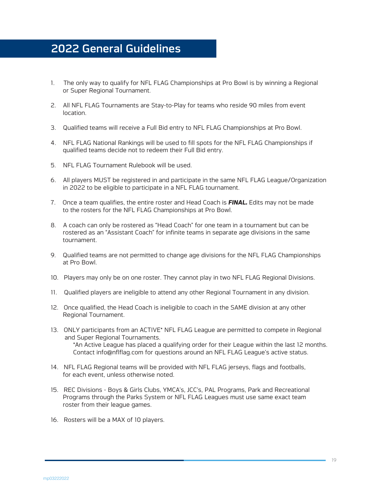# 2022 General Guidelines

- 1. The only way to qualify for NFL FLAG Championships at Pro Bowl is by winning a Regional or Super Regional Tournament.
- 2. All NFL FLAG Tournaments are Stay-to-Play for teams who reside 90 miles from event location.
- 3. Qualified teams will receive a Full Bid entry to NFL FLAG Championships at Pro Bowl.
- 4. NFL FLAG National Rankings will be used to fill spots for the NFL FLAG Championships if qualified teams decide not to redeem their Full Bid entry.
- 5. NFL FLAG Tournament Rulebook will be used.
- 6. All players MUST be registered in and participate in the same NFL FLAG League/Organization in 2022 to be eligible to participate in a NFL FLAG tournament.
- 7. Once a team qualifies, the entire roster and Head Coach is *FINAL.* Edits may not be made to the rosters for the NFL FLAG Championships at Pro Bowl.
- 8. A coach can only be rostered as "Head Coach" for one team in a tournament but can be rostered as an "Assistant Coach" for infinite teams in separate age divisions in the same tournament.
- 9. Qualified teams are not permitted to change age divisions for the NFL FLAG Championships at Pro Bowl.
- 10. Players may only be on one roster. They cannot play in two NFL FLAG Regional Divisions.
- 11. Qualified players are ineligible to attend any other Regional Tournament in any division.
- 12. Once qualified, the Head Coach is ineligible to coach in the SAME division at any other Regional Tournament.
- 13. ONLY participants from an ACTIVE\* NFL FLAG League are permitted to compete in Regional and Super Regional Tournaments. \*An Active League has placed a qualifying order for their League within the last 12 months. Contact info@nflflag.com for questions around an NFL FLAG League's active status.
- 14. NFL FLAG Regional teams will be provided with NFL FLAG jerseys, flags and footballs, for each event, unless otherwise noted.
- 15. REC Divisions Boys & Girls Clubs, YMCA's, JCC's, PAL Programs, Park and Recreational Programs through the Parks System or NFL FLAG Leagues must use same exact team roster from their league games.
- 16. Rosters will be a MAX of 10 players.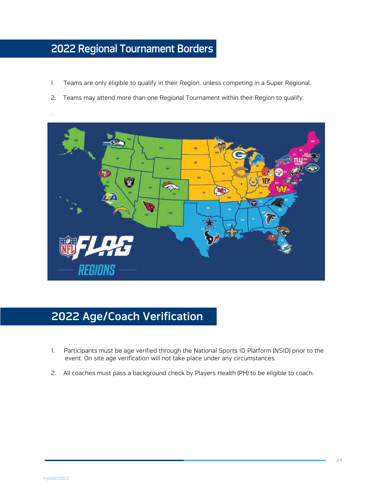# 2022 Regional Tournament Borders

- 1. Teams are only eligible to qualify in their Region, unless competing in a Super Regional.
- 2. Teams may attend more than one Regional Tournament within their Region to qualify.



# 2022 Age/Coach Verification

- 1. Participants must be age verified through the National Sports ID Platform (NSID) prior to the event. On site age verification will not take place under any circumstances.
- 2. All coaches must pass a background check by Players Health (PH) to be eligible to coach.